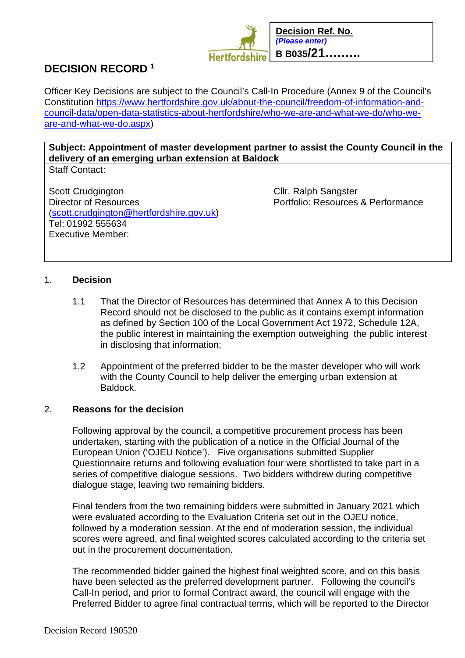

# **DECISION RECORD <sup>1</sup>**

Officer Key Decisions are subject to the Council's Call-In Procedure (Annex 9 of the Council's Constitution https://www.hertfordshire.gov.uk/about-the-council/freedom-of-information-andcouncil-data/open-data-statistics-about-hertfordshire/who-we-are-and-what-we-do/who-weare-and-what-we-do.aspx)

**Subject: Appointment of master development partner to assist the County Council in the delivery of an emerging urban extension at Baldock** Staff Contact:

Scott Crudgington Cllr. Ralph Sangster<br>
Director of Resources Clientes<br>
Cllr. Ralph Sangster<br>
Portfolio: Resources (scott.crudgington@hertfordshire.gov.uk) Tel: 01992 555634 Executive Member:

Portfolio: Resources & Performance

# 1. **Decision**

- 1.1 That the Director of Resources has determined that Annex A to this Decision Record should not be disclosed to the public as it contains exempt information as defined by Section 100 of the Local Government Act 1972, Schedule 12A, the public interest in maintaining the exemption outweighing the public interest in disclosing that information;
- 1.2 Appointment of the preferred bidder to be the master developer who will work with the County Council to help deliver the emerging urban extension at Baldock.

# 2. **Reasons for the decision**

Following approval by the council, a competitive procurement process has been undertaken, starting with the publication of a notice in the Official Journal of the European Union ('OJEU Notice'). Five organisations submitted Supplier Questionnaire returns and following evaluation four were shortlisted to take part in a series of competitive dialogue sessions. Two bidders withdrew during competitive dialogue stage, leaving two remaining bidders.

Final tenders from the two remaining bidders were submitted in January 2021 which were evaluated according to the Evaluation Criteria set out in the OJEU notice, followed by a moderation session. At the end of moderation session, the individual scores were agreed, and final weighted scores calculated according to the criteria set out in the procurement documentation.

The recommended bidder gained the highest final weighted score, and on this basis have been selected as the preferred development partner. Following the council's Call-In period, and prior to formal Contract award, the council will engage with the Preferred Bidder to agree final contractual terms, which will be reported to the Director